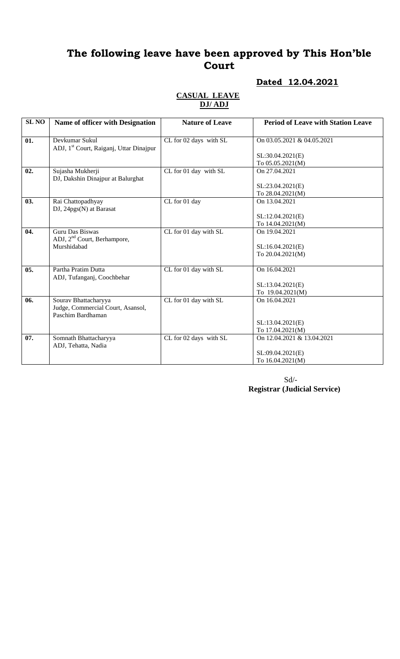## **The following leave have been approved by This Hon'ble Court**

### **Dated 12.04.2021**

#### **CASUAL LEAVE DJ/ ADJ**

| <b>SL NO</b> | <b>Name of officer with Designation</b>                                        | <b>Nature of Leave</b> | <b>Period of Leave with Station Leave</b> |
|--------------|--------------------------------------------------------------------------------|------------------------|-------------------------------------------|
| 01.          | Devkumar Sukul<br>ADJ, 1 <sup>st</sup> Court, Raiganj, Uttar Dinajpur          | CL for 02 days with SL | On 03.05.2021 & 04.05.2021                |
|              |                                                                                |                        | SL:30.04.2021(E)<br>To 05.05.2021(M)      |
| 02.          | Sujasha Mukherji<br>DJ, Dakshin Dinajpur at Balurghat                          | CL for 01 day with SL  | On 27.04.2021                             |
|              |                                                                                |                        | SL:23.04.2021(E)<br>To 28.04.2021(M)      |
| 03.          | Rai Chattopadhyay<br>$DJ$ , 24 $pgs(N)$ at Barasat                             | CL for 01 day          | On 13.04.2021                             |
|              |                                                                                |                        | SL:12.04.2021(E)<br>To 14.04.2021(M)      |
| 04.          | Guru Das Biswas<br>ADJ, 2 <sup>nd</sup> Court, Berhampore,                     | CL for 01 day with SL  | On 19.04.2021                             |
|              | Murshidabad                                                                    |                        | SL:16.04.2021(E)<br>To 20.04.2021(M)      |
| 05.          | Partha Pratim Dutta<br>ADJ, Tufanganj, Coochbehar                              | CL for 01 day with SL  | On 16.04.2021                             |
|              |                                                                                |                        | SL:13.04.2021(E)<br>To 19.04.2021(M)      |
| 06.          | Sourav Bhattacharyya<br>Judge, Commercial Court, Asansol,<br>Paschim Bardhaman | CL for 01 day with SL  | On 16.04.2021                             |
|              |                                                                                |                        | SL:13.04.2021(E)<br>To 17.04.2021(M)      |
| 07.          | Somnath Bhattacharyya<br>ADJ, Tehatta, Nadia                                   | CL for 02 days with SL | On 12.04.2021 & 13.04.2021                |
|              |                                                                                |                        | SL:09.04.2021(E)<br>To 16.04.2021(M)      |

 Sd/- **Registrar (Judicial Service)**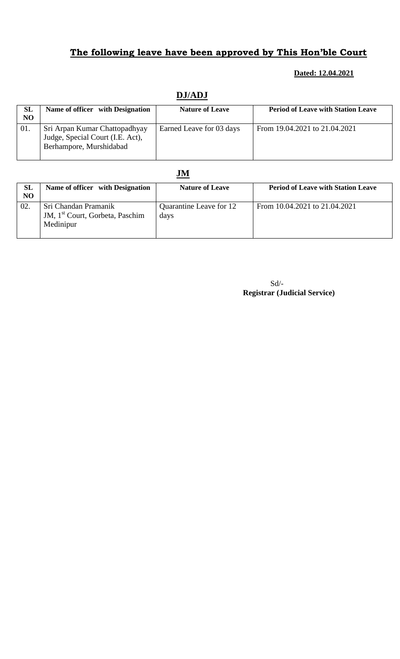# **The following leave have been approved by This Hon'ble Court**

#### **Dated: 12.04.2021**

| <b>SL</b> | Name of officer with Designation                                                             | <b>Nature of Leave</b>   | <b>Period of Leave with Station Leave</b> |
|-----------|----------------------------------------------------------------------------------------------|--------------------------|-------------------------------------------|
| NO        |                                                                                              |                          |                                           |
| 01.       | Sri Arpan Kumar Chattopadhyay<br>Judge, Special Court (I.E. Act),<br>Berhampore, Murshidabad | Earned Leave for 03 days | From 19.04.2021 to 21.04.2021             |

### **DJ/ADJ**

### **JM**

| <b>SL</b><br>NO | Name of officer with Designation                                                 | <b>Nature of Leave</b>          | <b>Period of Leave with Station Leave</b> |
|-----------------|----------------------------------------------------------------------------------|---------------------------------|-------------------------------------------|
| 02.             | Sri Chandan Pramanik<br>JM, 1 <sup>st</sup> Court, Gorbeta, Paschim<br>Medinipur | Quarantine Leave for 12<br>days | From 10.04.2021 to 21.04.2021             |

Sd/-  **Registrar (Judicial Service)**